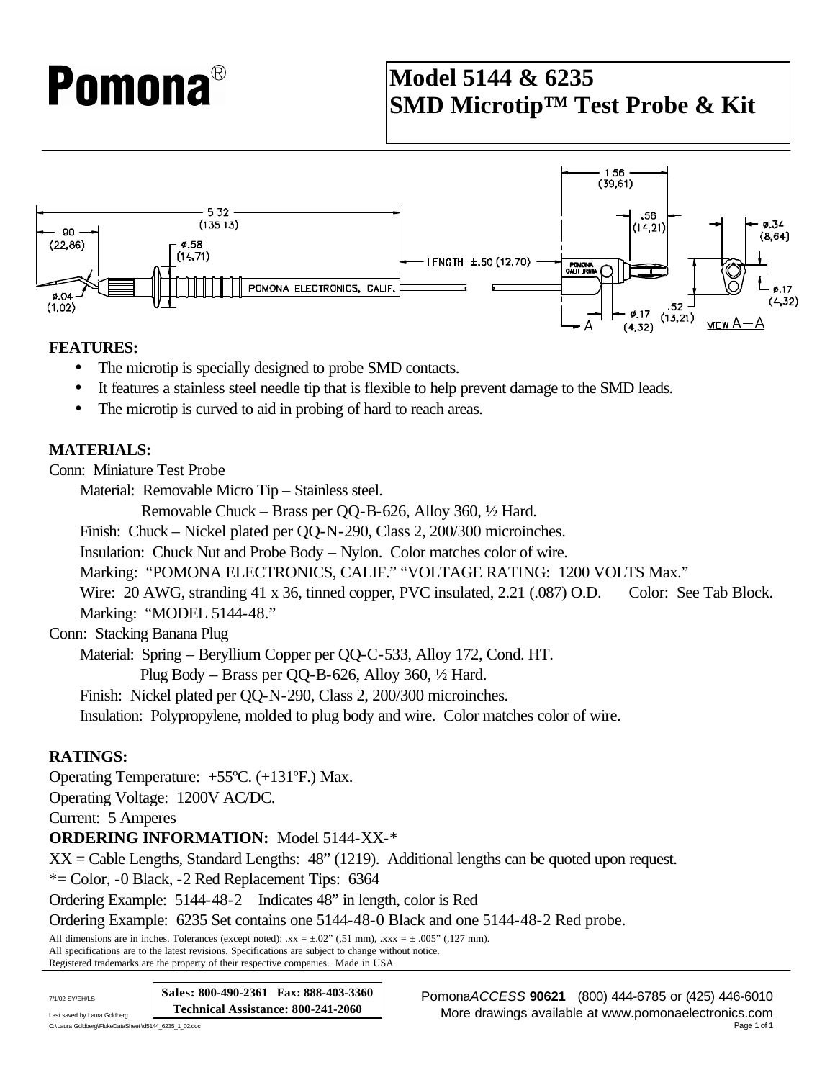# **Pomona**®

### **Model 5144 & 6235 SMD Microtip™ Test Probe & Kit**



#### **FEATURES:**

- The microtip is specially designed to probe SMD contacts.
- It features a stainless steel needle tip that is flexible to help prevent damage to the SMD leads.
- The microtip is curved to aid in probing of hard to reach areas.

#### **MATERIALS:**

Conn: Miniature Test Probe

Material: Removable Micro Tip – Stainless steel.

Removable Chuck – Brass per QQ-B-626, Alloy 360, ½ Hard.

Finish: Chuck – Nickel plated per QQ-N-290, Class 2, 200/300 microinches.

Insulation: Chuck Nut and Probe Body – Nylon. Color matches color of wire.

Marking: "POMONA ELECTRONICS, CALIF." "VOLTAGE RATING: 1200 VOLTS Max."

Wire: 20 AWG, stranding 41 x 36, tinned copper, PVC insulated, 2.21 (.087) O.D. Color: See Tab Block. Marking: "MODEL 5144-48."

Conn: Stacking Banana Plug

Material: Spring – Beryllium Copper per QQ-C-533, Alloy 172, Cond. HT.

Plug Body – Brass per QQ-B-626, Alloy 360, ½ Hard.

Finish: Nickel plated per QQ-N-290, Class 2, 200/300 microinches.

Insulation: Polypropylene, molded to plug body and wire. Color matches color of wire.

#### **RATINGS:**

Operating Temperature: +55ºC. (+131ºF.) Max.

Operating Voltage: 1200V AC/DC.

Current: 5 Amperes

**ORDERING INFORMATION:** Model 5144-XX-\*

XX = Cable Lengths, Standard Lengths: 48" (1219). Additional lengths can be quoted upon request.

\*= Color, -0 Black, -2 Red Replacement Tips: 6364

Ordering Example: 5144-48-2 Indicates 48" in length, color is Red

Ordering Example: 6235 Set contains one 5144-48-0 Black and one 5144-48-2 Red probe.

All dimensions are in inches. Tolerances (except noted):  $xx = \pm .02$ " (51 mm),  $xxxx = \pm .005$ " (127 mm). All specifications are to the latest revisions. Specifications are subject to change without notice. Registered trademarks are the property of their respective companies. Made in USA

**Sales: 800-490-2361 Fax: 888-403-3360 Technical Assistance: 800-241-2060**

C:\Laura Goldberg\FlukeDataSheet\d5144\_6235\_1\_02.doc